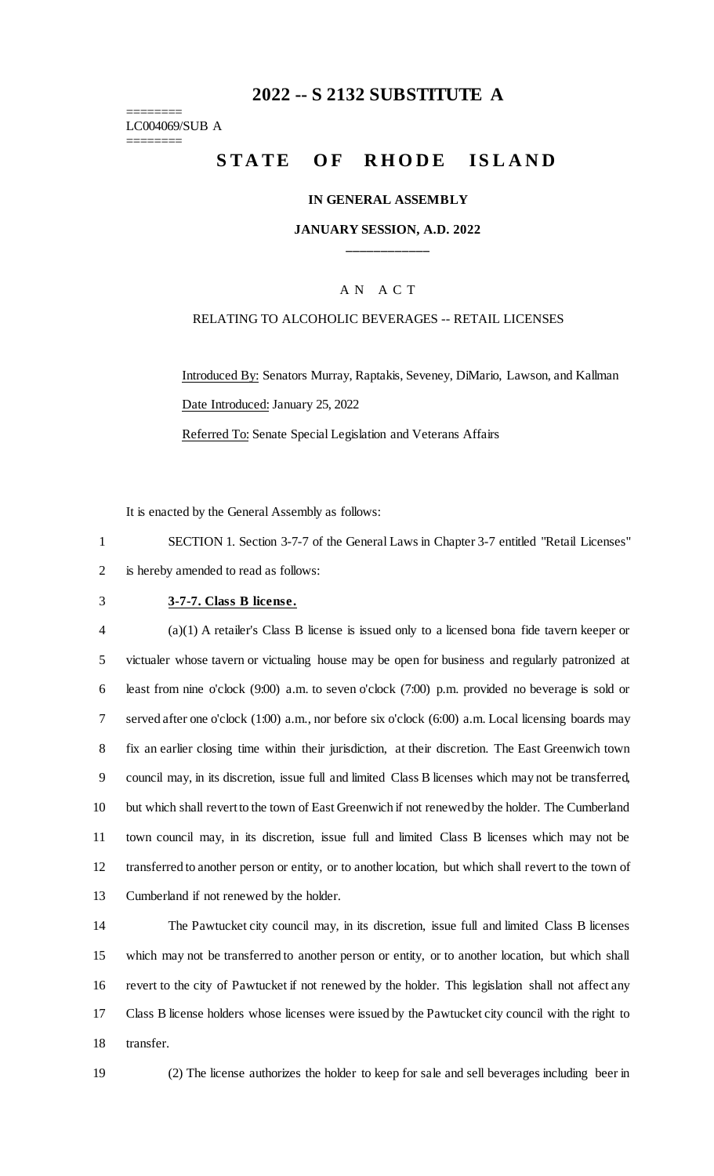# **-- S 2132 SUBSTITUTE A**

======== LC004069/SUB A ========

# **STATE OF RHODE ISLAND**

#### **IN GENERAL ASSEMBLY**

**JANUARY SESSION, A.D. 2022 \_\_\_\_\_\_\_\_\_\_\_\_**

## A N A C T

#### RELATING TO ALCOHOLIC BEVERAGES -- RETAIL LICENSES

Introduced By: Senators Murray, Raptakis, Seveney, DiMario, Lawson, and Kallman Date Introduced: January 25, 2022

Referred To: Senate Special Legislation and Veterans Affairs

It is enacted by the General Assembly as follows:

 SECTION 1. Section 3-7-7 of the General Laws in Chapter 3-7 entitled "Retail Licenses" is hereby amended to read as follows:

#### **3-7-7. Class B license.**

 (a)(1) A retailer's Class B license is issued only to a licensed bona fide tavern keeper or victualer whose tavern or victualing house may be open for business and regularly patronized at least from nine o'clock (9:00) a.m. to seven o'clock (7:00) p.m. provided no beverage is sold or served after one o'clock (1:00) a.m., nor before six o'clock (6:00) a.m. Local licensing boards may fix an earlier closing time within their jurisdiction, at their discretion. The East Greenwich town council may, in its discretion, issue full and limited Class B licenses which may not be transferred, but which shall revert to the town of East Greenwich if not renewed by the holder. The Cumberland town council may, in its discretion, issue full and limited Class B licenses which may not be transferred to another person or entity, or to another location, but which shall revert to the town of Cumberland if not renewed by the holder.

 The Pawtucket city council may, in its discretion, issue full and limited Class B licenses which may not be transferred to another person or entity, or to another location, but which shall revert to the city of Pawtucket if not renewed by the holder. This legislation shall not affect any Class B license holders whose licenses were issued by the Pawtucket city council with the right to transfer.

(2) The license authorizes the holder to keep for sale and sell beverages including beer in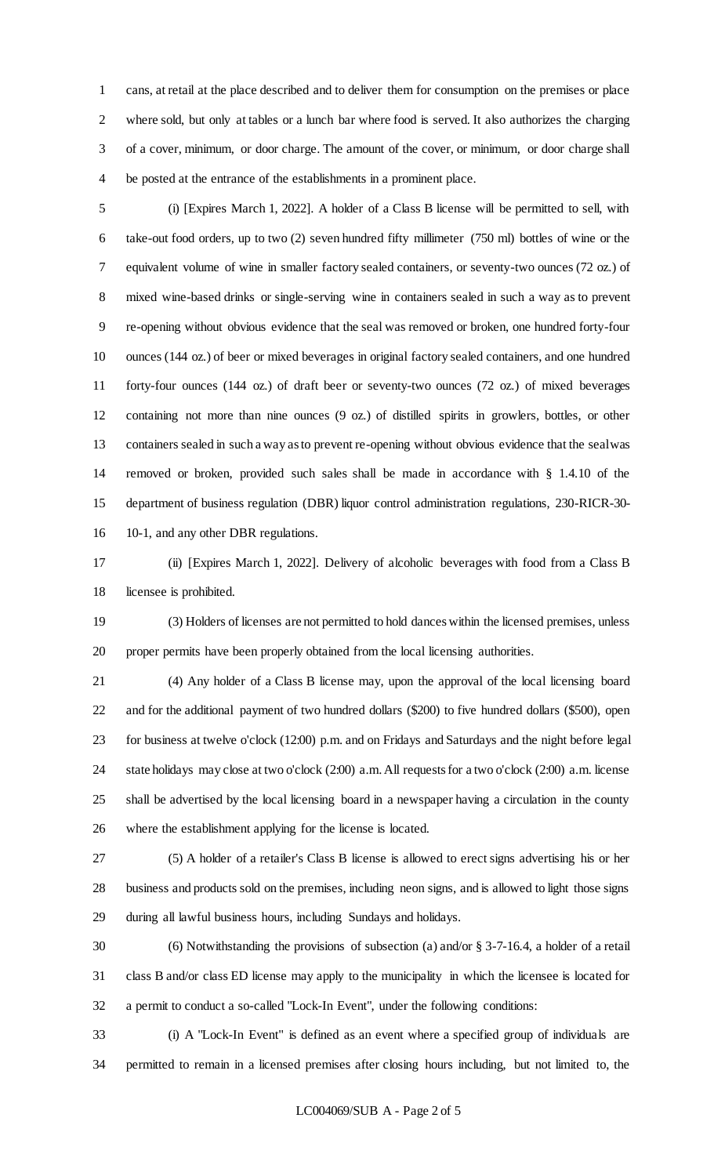cans, at retail at the place described and to deliver them for consumption on the premises or place where sold, but only at tables or a lunch bar where food is served. It also authorizes the charging of a cover, minimum, or door charge. The amount of the cover, or minimum, or door charge shall be posted at the entrance of the establishments in a prominent place.

 (i) [Expires March 1, 2022]. A holder of a Class B license will be permitted to sell, with take-out food orders, up to two (2) seven hundred fifty millimeter (750 ml) bottles of wine or the equivalent volume of wine in smaller factory sealed containers, or seventy-two ounces (72 oz.) of mixed wine-based drinks or single-serving wine in containers sealed in such a way as to prevent re-opening without obvious evidence that the seal was removed or broken, one hundred forty-four ounces (144 oz.) of beer or mixed beverages in original factory sealed containers, and one hundred forty-four ounces (144 oz.) of draft beer or seventy-two ounces (72 oz.) of mixed beverages containing not more than nine ounces (9 oz.) of distilled spirits in growlers, bottles, or other containers sealed in such a way as to prevent re-opening without obvious evidence that the seal was removed or broken, provided such sales shall be made in accordance with § 1.4.10 of the department of business regulation (DBR) liquor control administration regulations, 230-RICR-30- 10-1, and any other DBR regulations.

 (ii) [Expires March 1, 2022]. Delivery of alcoholic beverages with food from a Class B licensee is prohibited.

 (3) Holders of licenses are not permitted to hold dances within the licensed premises, unless proper permits have been properly obtained from the local licensing authorities.

 (4) Any holder of a Class B license may, upon the approval of the local licensing board and for the additional payment of two hundred dollars (\$200) to five hundred dollars (\$500), open for business at twelve o'clock (12:00) p.m. and on Fridays and Saturdays and the night before legal state holidays may close at two o'clock (2:00) a.m. All requests for a two o'clock (2:00) a.m. license shall be advertised by the local licensing board in a newspaper having a circulation in the county where the establishment applying for the license is located.

 (5) A holder of a retailer's Class B license is allowed to erect signs advertising his or her business and products sold on the premises, including neon signs, and is allowed to light those signs during all lawful business hours, including Sundays and holidays.

 (6) Notwithstanding the provisions of subsection (a) and/or § 3-7-16.4, a holder of a retail class B and/or class ED license may apply to the municipality in which the licensee is located for a permit to conduct a so-called "Lock-In Event", under the following conditions:

 (i) A "Lock-In Event" is defined as an event where a specified group of individuals are permitted to remain in a licensed premises after closing hours including, but not limited to, the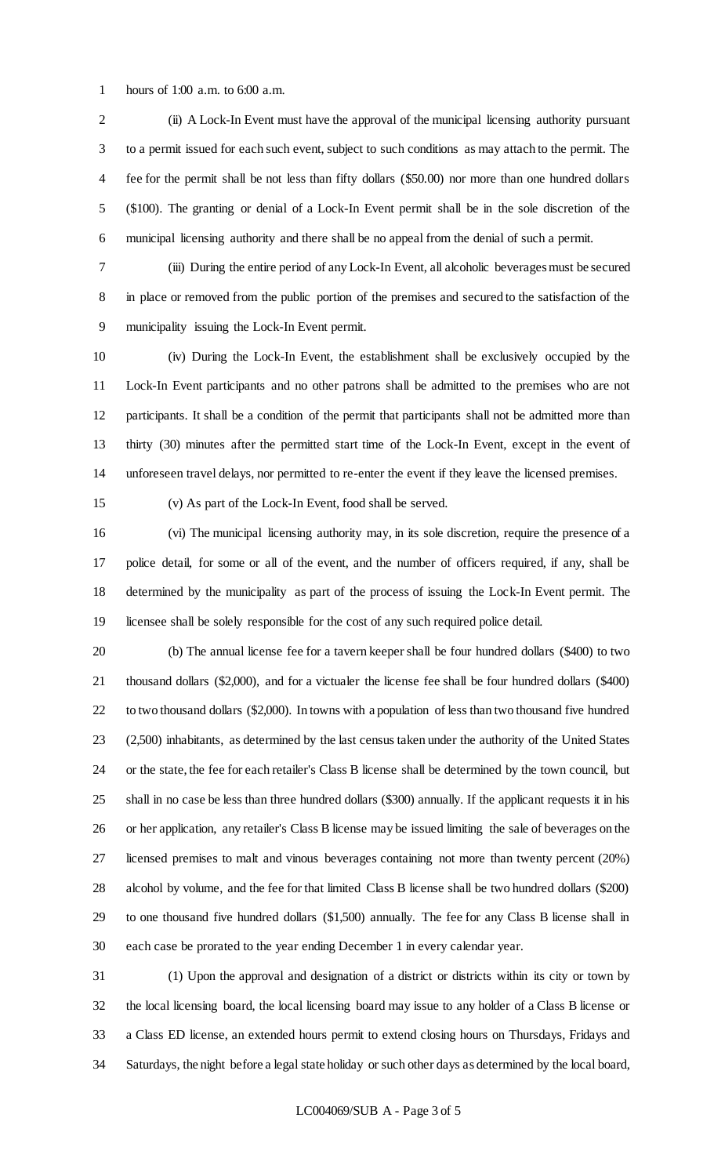hours of 1:00 a.m. to 6:00 a.m.

 (ii) A Lock-In Event must have the approval of the municipal licensing authority pursuant to a permit issued for each such event, subject to such conditions as may attach to the permit. The fee for the permit shall be not less than fifty dollars (\$50.00) nor more than one hundred dollars (\$100). The granting or denial of a Lock-In Event permit shall be in the sole discretion of the municipal licensing authority and there shall be no appeal from the denial of such a permit.

 (iii) During the entire period of any Lock-In Event, all alcoholic beverages must be secured in place or removed from the public portion of the premises and secured to the satisfaction of the municipality issuing the Lock-In Event permit.

 (iv) During the Lock-In Event, the establishment shall be exclusively occupied by the Lock-In Event participants and no other patrons shall be admitted to the premises who are not participants. It shall be a condition of the permit that participants shall not be admitted more than thirty (30) minutes after the permitted start time of the Lock-In Event, except in the event of unforeseen travel delays, nor permitted to re-enter the event if they leave the licensed premises.

(v) As part of the Lock-In Event, food shall be served.

 (vi) The municipal licensing authority may, in its sole discretion, require the presence of a police detail, for some or all of the event, and the number of officers required, if any, shall be determined by the municipality as part of the process of issuing the Lock-In Event permit. The licensee shall be solely responsible for the cost of any such required police detail.

 (b) The annual license fee for a tavern keeper shall be four hundred dollars (\$400) to two thousand dollars (\$2,000), and for a victualer the license fee shall be four hundred dollars (\$400) to two thousand dollars (\$2,000). In towns with a population of less than two thousand five hundred (2,500) inhabitants, as determined by the last census taken under the authority of the United States or the state, the fee for each retailer's Class B license shall be determined by the town council, but shall in no case be less than three hundred dollars (\$300) annually. If the applicant requests it in his or her application, any retailer's Class B license may be issued limiting the sale of beverages on the licensed premises to malt and vinous beverages containing not more than twenty percent (20%) alcohol by volume, and the fee for that limited Class B license shall be two hundred dollars (\$200) to one thousand five hundred dollars (\$1,500) annually. The fee for any Class B license shall in each case be prorated to the year ending December 1 in every calendar year.

 (1) Upon the approval and designation of a district or districts within its city or town by the local licensing board, the local licensing board may issue to any holder of a Class B license or a Class ED license, an extended hours permit to extend closing hours on Thursdays, Fridays and Saturdays, the night before a legal state holiday or such other days as determined by the local board,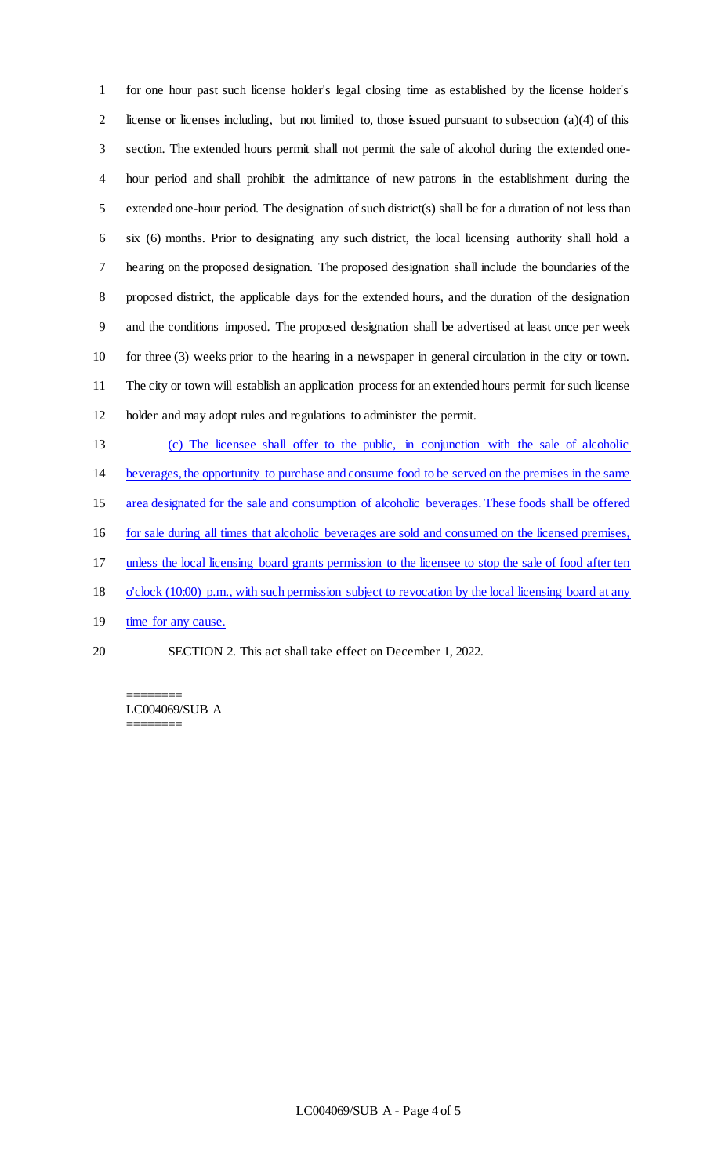for one hour past such license holder's legal closing time as established by the license holder's 2 license or licenses including, but not limited to, those issued pursuant to subsection  $(a)(4)$  of this section. The extended hours permit shall not permit the sale of alcohol during the extended one- hour period and shall prohibit the admittance of new patrons in the establishment during the extended one-hour period. The designation of such district(s) shall be for a duration of not less than six (6) months. Prior to designating any such district, the local licensing authority shall hold a hearing on the proposed designation. The proposed designation shall include the boundaries of the proposed district, the applicable days for the extended hours, and the duration of the designation and the conditions imposed. The proposed designation shall be advertised at least once per week for three (3) weeks prior to the hearing in a newspaper in general circulation in the city or town. The city or town will establish an application process for an extended hours permit for such license holder and may adopt rules and regulations to administer the permit.

- (c) The licensee shall offer to the public, in conjunction with the sale of alcoholic beverages, the opportunity to purchase and consume food to be served on the premises in the same area designated for the sale and consumption of alcoholic beverages. These foods shall be offered for sale during all times that alcoholic beverages are sold and consumed on the licensed premises, unless the local licensing board grants permission to the licensee to stop the sale of food after ten o'clock (10:00) p.m., with such permission subject to revocation by the local licensing board at any 19 time for any cause.
- SECTION 2. This act shall take effect on December 1, 2022.

======== LC004069/SUB A ========